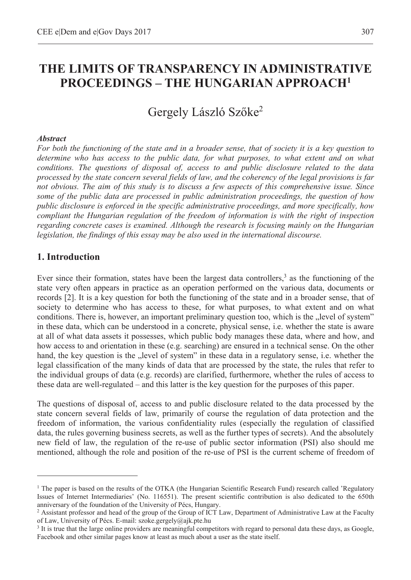# **THE LIMITS OF TRANSPARENCY IN ADMINISTRATIVE PROCEEDINGS – THE HUNGARIAN APPROACH1**

## Gergely László Szőke<sup>2</sup>

#### *Abstract*

*For both the functioning of the state and in a broader sense, that of society it is a key question to determine who has access to the public data, for what purposes, to what extent and on what conditions. The questions of disposal of, access to and public disclosure related to the data processed by the state concern several fields of law, and the coherency of the legal provisions is far not obvious. The aim of this study is to discuss a few aspects of this comprehensive issue. Since some of the public data are processed in public administration proceedings, the question of how public disclosure is enforced in the specific administrative proceedings, and more specifically, how compliant the Hungarian regulation of the freedom of information is with the right of inspection regarding concrete cases is examined. Although the research is focusing mainly on the Hungarian legislation, the findings of this essay may be also used in the international discourse.* 

### **1. Introduction**

 $\overline{a}$ 

Ever since their formation, states have been the largest data controllers,<sup>3</sup> as the functioning of the state very often appears in practice as an operation performed on the various data, documents or records [2]. It is a key question for both the functioning of the state and in a broader sense, that of society to determine who has access to these, for what purposes, to what extent and on what conditions. There is, however, an important preliminary question too, which is the "level of system" in these data, which can be understood in a concrete, physical sense, i.e. whether the state is aware at all of what data assets it possesses, which public body manages these data, where and how, and how access to and orientation in these (e.g. searching) are ensured in a technical sense. On the other hand, the key question is the "level of system" in these data in a regulatory sense, i.e. whether the legal classification of the many kinds of data that are processed by the state, the rules that refer to the individual groups of data (e.g. records) are clarified, furthermore, whether the rules of access to these data are well-regulated – and this latter is the key question for the purposes of this paper.

The questions of disposal of, access to and public disclosure related to the data processed by the state concern several fields of law, primarily of course the regulation of data protection and the freedom of information, the various confidentiality rules (especially the regulation of classified data, the rules governing business secrets, as well as the further types of secrets). And the absolutely new field of law, the regulation of the re-use of public sector information (PSI) also should me mentioned, although the role and position of the re-use of PSI is the current scheme of freedom of

<sup>&</sup>lt;sup>1</sup> The paper is based on the results of the OTKA (the Hungarian Scientific Research Fund) research called 'Regulatory Issues of Internet Intermediaries' (No. 116551). The present scientific contribution is also dedicated to the 650th anniversary of the foundation of the University of Pécs, Hungary.

<sup>&</sup>lt;sup>2</sup> Assistant professor and head of the group of the Group of ICT Law, Department of Administrative Law at the Faculty of Law, University of Pécs. E-mail: szoke.gergely@ajk.pte.hu

<sup>&</sup>lt;sup>3</sup> It is true that the large online providers are meaningful competitors with regard to personal data these days, as Google, Facebook and other similar pages know at least as much about a user as the state itself.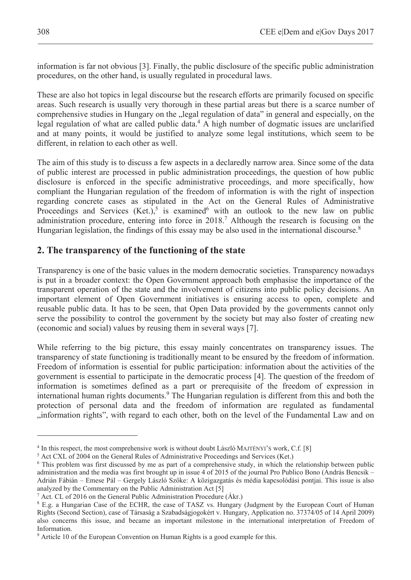information is far not obvious [3]. Finally, the public disclosure of the specific public administration procedures, on the other hand, is usually regulated in procedural laws.

These are also hot topics in legal discourse but the research efforts are primarily focused on specific areas. Such research is usually very thorough in these partial areas but there is a scarce number of comprehensive studies in Hungary on the "legal regulation of data" in general and especially, on the legal regulation of what are called public data.<sup>4</sup> A high number of dogmatic issues are unclarified and at many points, it would be justified to analyze some legal institutions, which seem to be different, in relation to each other as well.

The aim of this study is to discuss a few aspects in a declaredly narrow area. Since some of the data of public interest are processed in public administration proceedings, the question of how public disclosure is enforced in the specific administrative proceedings, and more specifically, how compliant the Hungarian regulation of the freedom of information is with the right of inspection regarding concrete cases as stipulated in the Act on the General Rules of Administrative Proceedings and Services  $(Ket.)$ <sup>5</sup> is examined<sup>6</sup> with an outlook to the new law on public administration procedure, entering into force in 2018.<sup>7</sup> Although the research is focusing on the Hungarian legislation, the findings of this essay may be also used in the international discourse.<sup>8</sup>

## **2. The transparency of the functioning of the state**

Transparency is one of the basic values in the modern democratic societies. Transparency nowadays is put in a broader context: the Open Government approach both emphasise the importance of the transparent operation of the state and the involvement of citizens into public policy decisions. An important element of Open Government initiatives is ensuring access to open, complete and reusable public data. It has to be seen, that Open Data provided by the governments cannot only serve the possibility to control the government by the society but may also foster of creating new (economic and social) values by reusing them in several ways [7].

While referring to the big picture, this essay mainly concentrates on transparency issues. The transparency of state functioning is traditionally meant to be ensured by the freedom of information. Freedom of information is essential for public participation: information about the activities of the government is essential to participate in the democratic process [4]. The question of the freedom of information is sometimes defined as a part or prerequisite of the freedom of expression in international human rights documents.<sup>9</sup> The Hungarian regulation is different from this and both the protection of personal data and the freedom of information are regulated as fundamental "information rights", with regard to each other, both on the level of the Fundamental Law and on

<sup>&</sup>lt;sup>4</sup> In this respect, the most comprehensive work is without doubt László MAJTÉNYI'S work, C.f. [8]  $^5$  Act CXL of 2004 on the General Rules of Administrative Proceedings and Services (Ket.)

<sup>&</sup>lt;sup>5</sup> Act CXL of 2004 on the General Rules of Administrative Proceedings and Services (Ket.)

<sup>6</sup> This problem was first discussed by me as part of a comprehensive study, in which the relationship between public administration and the media was first brought up in issue 4 of 2015 of the journal Pro Publico Bono (András Bencsik – Adrián Fábián – Emese Pál – Gergely László Szőke: A közigazgatás és média kapcsolódási pontjai. This issue is also analyzed by the Commentary on the Public Administration Act  $[5]$ 

 $\frac{7}{7}$  Act. CL of 2016 on the General Public Administration Procedure (Ákr.)

E.g. a Hungarian Case of the ECHR, the case of TASZ vs. Hungary (Judgment by the European Court of Human Rights (Second Section), case of Társaság a Szabadságjogokért v. Hungary, Application no. 37374/05 of 14 April 2009) also concerns this issue, and became an important milestone in the international interpretation of Freedom of Information.

<sup>&</sup>lt;sup>9</sup> Article 10 of the European Convention on Human Rights is a good example for this.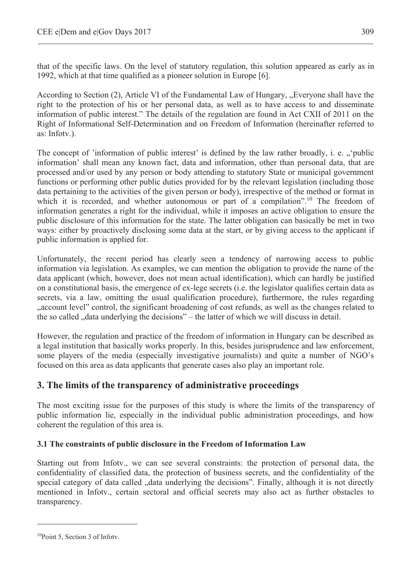that of the specific laws. On the level of statutory regulation, this solution appeared as early as in 1992, which at that time qualified as a pioneer solution in Europe [6].

According to Section (2), Article VI of the Fundamental Law of Hungary, "Everyone shall have the right to the protection of his or her personal data, as well as to have access to and disseminate information of public interest." The details of the regulation are found in Act CXII of 2011 on the Right of Informational Self-Determination and on Freedom of Information (hereinafter referred to as: Infotv.).

The concept of 'information of public interest' is defined by the law rather broadly, i. e.  $\ldots$  'public information' shall mean any known fact, data and information, other than personal data, that are processed and/or used by any person or body attending to statutory State or municipal government functions or performing other public duties provided for by the relevant legislation (including those data pertaining to the activities of the given person or body), irrespective of the method or format in which it is recorded, and whether autonomous or part of a compilation".<sup>10</sup> The freedom of information generates a right for the individual, while it imposes an active obligation to ensure the public disclosure of this information for the state. The latter obligation can basically be met in two ways: either by proactively disclosing some data at the start, or by giving access to the applicant if public information is applied for.

Unfortunately, the recent period has clearly seen a tendency of narrowing access to public information via legislation. As examples, we can mention the obligation to provide the name of the data applicant (which, however, does not mean actual identification), which can hardly be justified on a constitutional basis, the emergence of ex-lege secrets (i.e. the legislator qualifies certain data as secrets, via a law, omitting the usual qualification procedure), furthermore, the rules regarding "account level" control, the significant broadening of cost refunds, as well as the changes related to the so called ", data underlying the decisions" – the latter of which we will discuss in detail.

However, the regulation and practice of the freedom of information in Hungary can be described as a legal institution that basically works properly. In this, besides jurisprudence and law enforcement, some players of the media (especially investigative journalists) and quite a number of NGO's focused on this area as data applicants that generate cases also play an important role.

## **3. The limits of the transparency of administrative proceedings**

The most exciting issue for the purposes of this study is where the limits of the transparency of public information lie, especially in the individual public administration proceedings, and how coherent the regulation of this area is.

#### **3.1 The constraints of public disclosure in the Freedom of Information Law**

Starting out from Infotv., we can see several constraints: the protection of personal data, the confidentiality of classified data, the protection of business secrets, and the confidentiality of the special category of data called ", data underlying the decisions". Finally, although it is not directly mentioned in Infotv., certain sectoral and official secrets may also act as further obstacles to transparency.

<sup>10</sup>Point 5, Section 3 of Infotv.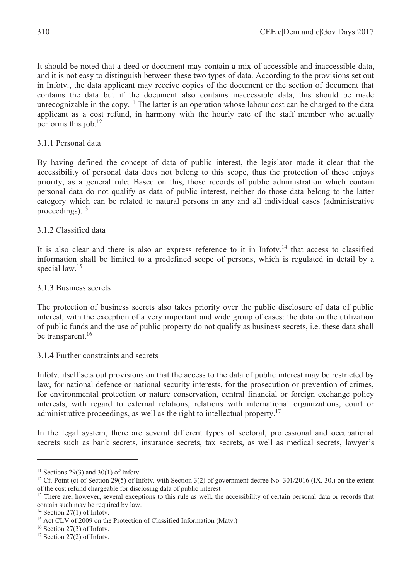It should be noted that a deed or document may contain a mix of accessible and inaccessible data, and it is not easy to distinguish between these two types of data. According to the provisions set out in Infotv., the data applicant may receive copies of the document or the section of document that contains the data but if the document also contains inaccessible data, this should be made unrecognizable in the copy.<sup>11</sup> The latter is an operation whose labour cost can be charged to the data applicant as a cost refund, in harmony with the hourly rate of the staff member who actually performs this job.12

#### 3.1.1 Personal data

By having defined the concept of data of public interest, the legislator made it clear that the accessibility of personal data does not belong to this scope, thus the protection of these enjoys priority, as a general rule. Based on this, those records of public administration which contain personal data do not qualify as data of public interest, neither do those data belong to the latter category which can be related to natural persons in any and all individual cases (administrative proceedings).<sup>13</sup>

#### 3.1.2 Classified data

It is also clear and there is also an express reference to it in Infoty.<sup>14</sup> that access to classified information shall be limited to a predefined scope of persons, which is regulated in detail by a special law.<sup>15</sup>

#### 3.1.3 Business secrets

The protection of business secrets also takes priority over the public disclosure of data of public interest, with the exception of a very important and wide group of cases: the data on the utilization of public funds and the use of public property do not qualify as business secrets, i.e. these data shall be transparent.<sup>16</sup>

#### 3.1.4 Further constraints and secrets

Infotv. itself sets out provisions on that the access to the data of public interest may be restricted by law, for national defence or national security interests, for the prosecution or prevention of crimes, for environmental protection or nature conservation, central financial or foreign exchange policy interests, with regard to external relations, relations with international organizations, court or administrative proceedings, as well as the right to intellectual property.<sup>17</sup>

In the legal system, there are several different types of sectoral, professional and occupational secrets such as bank secrets, insurance secrets, tax secrets, as well as medical secrets, lawyer's

<sup>&</sup>lt;sup>11</sup> Sections 29(3) and 30(1) of Infoty.

<sup>&</sup>lt;sup>12</sup> Cf. Point (c) of Section 29(5) of Infotv. with Section 3(2) of government decree No. 301/2016 (IX. 30.) on the extent of the cost refund chargeable for disclosing data of public interest

<sup>&</sup>lt;sup>13</sup> There are, however, several exceptions to this rule as well, the accessibility of certain personal data or records that contain such may be required by law.

 $14$  Section 27(1) of Infoty.

<sup>&</sup>lt;sup>15</sup> Act CLV of 2009 on the Protection of Classified Information (Matv.)

<sup>16</sup> Section 27(3) of Infotv.

 $17$  Section 27(2) of Infotv.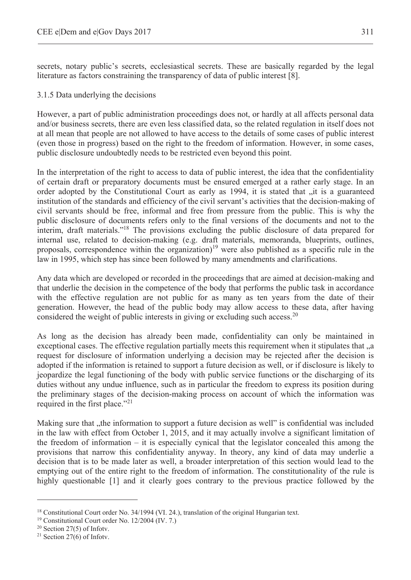secrets, notary public's secrets, ecclesiastical secrets. These are basically regarded by the legal literature as factors constraining the transparency of data of public interest [8].

#### 3.1.5 Data underlying the decisions

However, a part of public administration proceedings does not, or hardly at all affects personal data and/or business secrets, there are even less classified data, so the related regulation in itself does not at all mean that people are not allowed to have access to the details of some cases of public interest (even those in progress) based on the right to the freedom of information. However, in some cases, public disclosure undoubtedly needs to be restricted even beyond this point.

In the interpretation of the right to access to data of public interest, the idea that the confidentiality of certain draft or preparatory documents must be ensured emerged at a rather early stage. In an order adopted by the Constitutional Court as early as 1994, it is stated that "it is a guaranteed institution of the standards and efficiency of the civil servant's activities that the decision-making of civil servants should be free, informal and free from pressure from the public. This is why the public disclosure of documents refers only to the final versions of the documents and not to the interim, draft materials."18 The provisions excluding the public disclosure of data prepared for internal use, related to decision-making (e.g. draft materials, memoranda, blueprints, outlines, proposals, correspondence within the organization)<sup>19</sup> were also published as a specific rule in the law in 1995, which step has since been followed by many amendments and clarifications.

Any data which are developed or recorded in the proceedings that are aimed at decision-making and that underlie the decision in the competence of the body that performs the public task in accordance with the effective regulation are not public for as many as ten years from the date of their generation. However, the head of the public body may allow access to these data, after having considered the weight of public interests in giving or excluding such access.<sup>20</sup>

As long as the decision has already been made, confidentiality can only be maintained in exceptional cases. The effective regulation partially meets this requirement when it stipulates that  $\alpha$ request for disclosure of information underlying a decision may be rejected after the decision is adopted if the information is retained to support a future decision as well, or if disclosure is likely to jeopardize the legal functioning of the body with public service functions or the discharging of its duties without any undue influence, such as in particular the freedom to express its position during the preliminary stages of the decision-making process on account of which the information was required in the first place."<sup>21</sup>

Making sure that "the information to support a future decision as well" is confidential was included in the law with effect from October 1, 2015, and it may actually involve a significant limitation of the freedom of information – it is especially cynical that the legislator concealed this among the provisions that narrow this confidentiality anyway. In theory, any kind of data may underlie a decision that is to be made later as well, a broader interpretation of this section would lead to the emptying out of the entire right to the freedom of information. The constitutionality of the rule is highly questionable [1] and it clearly goes contrary to the previous practice followed by the

<sup>&</sup>lt;sup>18</sup> Constitutional Court order No. 34/1994 (VI. 24.), translation of the original Hungarian text. <sup>19</sup> Constitutional Court order No. 12/2004 (IV. 7.)

 $20$  Section 27(5) of Infotv.

<sup>21</sup> Section 27(6) of Infotv.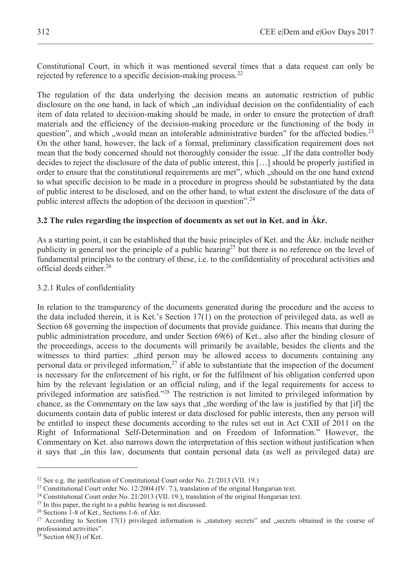Constitutional Court, in which it was mentioned several times that a data request can only be rejected by reference to a specific decision-making process.<sup>22</sup>

The regulation of the data underlying the decision means an automatic restriction of public disclosure on the one hand, in lack of which , an individual decision on the confidentiality of each item of data related to decision-making should be made, in order to ensure the protection of draft materials and the efficiency of the decision-making procedure or the functioning of the body in question", and which "would mean an intolerable administrative burden" for the affected bodies.<sup>23</sup> On the other hand, however, the lack of a formal, preliminary classification requirement does not mean that the body concerned should not thoroughly consider the issue. "If the data controller body" decides to reject the disclosure of the data of public interest, this […] should be properly justified in order to ensure that the constitutional requirements are met", which "should on the one hand extend" to what specific decision to be made in a procedure in progress should be substantiated by the data of public interest to be disclosed, and on the other hand, to what extent the disclosure of the data of public interest affects the adoption of the decision in question".<sup>24</sup>

#### **3.2 The rules regarding the inspection of documents as set out in Ket. and in Ákr.**

As a starting point, it can be established that the basic principles of Ket. and the Ákr. include neither publicity in general nor the principle of a public hearing<sup>25</sup> but there is no reference on the level of fundamental principles to the contrary of these, i.e. to the confidentiality of procedural activities and official deeds either.26

#### 3.2.1 Rules of confidentiality

In relation to the transparency of the documents generated during the procedure and the access to the data included therein, it is Ket.'s Section 17(1) on the protection of privileged data, as well as Section 68 governing the inspection of documents that provide guidance. This means that during the public administration procedure, and under Section 69(6) of Ket., also after the binding closure of the proceedings, access to the documents will primarily be available, besides the clients and the witnesses to third parties: "third person may be allowed access to documents containing any personal data or privileged information, $27$  if able to substantiate that the inspection of the document is necessary for the enforcement of his right, or for the fulfilment of his obligation conferred upon him by the relevant legislation or an official ruling, and if the legal requirements for access to privileged information are satisfied."<sup>28</sup> The restriction is not limited to privileged information by chance, as the Commentary on the law says that "the wording of the law is justified by that [if] the documents contain data of public interest or data disclosed for public interests, then any person will be entitled to inspect these documents according to the rules set out in Act CXII of 2011 on the Right of Informational Self-Determination and on Freedom of Information." However, the Commentary on Ket. also narrows down the interpretation of this section without justification when it says that "in this law, documents that contain personal data (as well as privileged data) are

<sup>&</sup>lt;sup>22</sup> See e.g. the justification of Constitutional Court order No. 21/2013 (VII. 19.)<br><sup>23</sup> Constitutional Court order No. 12/2004 (IV. 7.), translation of the original Hungarian text.<br><sup>24</sup> Constitutional Court order No. 21

<sup>26</sup> Sections 1-8 of Ket., Sections 1-6. of Ákr.

<sup>&</sup>lt;sup>27</sup> According to Section 17(1) privileged information is "statutory secrets" and "secrets obtained in the course of professional activities".

 $28$  Section 68(3) of Ket.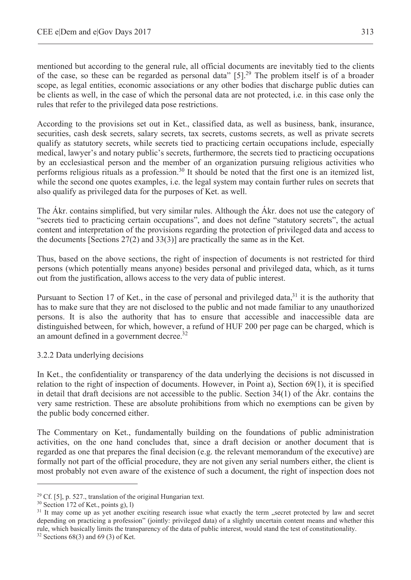mentioned but according to the general rule, all official documents are inevitably tied to the clients of the case, so these can be regarded as personal data"  $[5]$ <sup>29</sup>. The problem itself is of a broader scope, as legal entities, economic associations or any other bodies that discharge public duties can be clients as well, in the case of which the personal data are not protected, i.e. in this case only the rules that refer to the privileged data pose restrictions.

According to the provisions set out in Ket., classified data, as well as business, bank, insurance, securities, cash desk secrets, salary secrets, tax secrets, customs secrets, as well as private secrets qualify as statutory secrets, while secrets tied to practicing certain occupations include, especially medical, lawyer's and notary public's secrets, furthermore, the secrets tied to practicing occupations by an ecclesiastical person and the member of an organization pursuing religious activities who performs religious rituals as a profession.<sup>30</sup> It should be noted that the first one is an itemized list, while the second one quotes examples, i.e. the legal system may contain further rules on secrets that also qualify as privileged data for the purposes of Ket. as well.

The Ákr. contains simplified, but very similar rules. Although the Ákr. does not use the category of "secrets tied to practicing certain occupations", and does not define "statutory secrets", the actual content and interpretation of the provisions regarding the protection of privileged data and access to the documents [Sections  $27(2)$  and  $33(3)$ ] are practically the same as in the Ket.

Thus, based on the above sections, the right of inspection of documents is not restricted for third persons (which potentially means anyone) besides personal and privileged data, which, as it turns out from the justification, allows access to the very data of public interest.

Pursuant to Section 17 of Ket., in the case of personal and privileged data,<sup>31</sup> it is the authority that has to make sure that they are not disclosed to the public and not made familiar to any unauthorized persons. It is also the authority that has to ensure that accessible and inaccessible data are distinguished between, for which, however, a refund of HUF 200 per page can be charged, which is an amount defined in a government decree.<sup>32</sup>

#### 3.2.2 Data underlying decisions

In Ket., the confidentiality or transparency of the data underlying the decisions is not discussed in relation to the right of inspection of documents. However, in Point a), Section 69(1), it is specified in detail that draft decisions are not accessible to the public. Section 34(1) of the Ákr. contains the very same restriction. These are absolute prohibitions from which no exemptions can be given by the public body concerned either.

The Commentary on Ket., fundamentally building on the foundations of public administration activities, on the one hand concludes that, since a draft decision or another document that is regarded as one that prepares the final decision (e.g. the relevant memorandum of the executive) are formally not part of the official procedure, they are not given any serial numbers either, the client is most probably not even aware of the existence of such a document, the right of inspection does not

<sup>&</sup>lt;sup>29</sup> Cf. [5], p. 527., translation of the original Hungarian text. <sup>30</sup> Section 172 of Ket., points g), l)

<sup>&</sup>lt;sup>31</sup> It may come up as yet another exciting research issue what exactly the term "secret protected by law and secret depending on practicing a profession" (jointly: privileged data) of a slightly uncertain content means and whether this rule, which basically limits the transparency of the data of public interest, would stand the test of constitutionality. 32 Sections 68(3) and 69 (3) of Ket.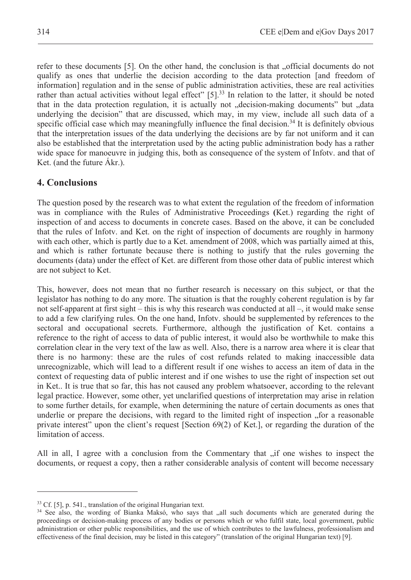refer to these documents [5]. On the other hand, the conclusion is that "official documents do not qualify as ones that underlie the decision according to the data protection [and freedom of information] regulation and in the sense of public administration activities, these are real activities rather than actual activities without legal effect" [5].<sup>33</sup> In relation to the latter, it should be noted that in the data protection regulation, it is actually not "decision-making documents" but "data underlying the decision" that are discussed, which may, in my view, include all such data of a specific official case which may meaningfully influence the final decision.<sup>34</sup> It is definitely obvious that the interpretation issues of the data underlying the decisions are by far not uniform and it can also be established that the interpretation used by the acting public administration body has a rather wide space for manoeuvre in judging this, both as consequence of the system of Infotv. and that of Ket. (and the future Ákr.).

### **4. Conclusions**

The question posed by the research was to what extent the regulation of the freedom of information was in compliance with the Rules of Administrative Proceedings **(**Ket.) regarding the right of inspection of and access to documents in concrete cases. Based on the above, it can be concluded that the rules of Infotv. and Ket. on the right of inspection of documents are roughly in harmony with each other, which is partly due to a Ket. amendment of 2008, which was partially aimed at this, and which is rather fortunate because there is nothing to justify that the rules governing the documents (data) under the effect of Ket. are different from those other data of public interest which are not subject to Ket.

This, however, does not mean that no further research is necessary on this subject, or that the legislator has nothing to do any more. The situation is that the roughly coherent regulation is by far not self-apparent at first sight – this is why this research was conducted at all –, it would make sense to add a few clarifying rules. On the one hand, Infotv. should be supplemented by references to the sectoral and occupational secrets. Furthermore, although the justification of Ket. contains a reference to the right of access to data of public interest, it would also be worthwhile to make this correlation clear in the very text of the law as well. Also, there is a narrow area where it is clear that there is no harmony: these are the rules of cost refunds related to making inaccessible data unrecognizable, which will lead to a different result if one wishes to access an item of data in the context of requesting data of public interest and if one wishes to use the right of inspection set out in Ket.. It is true that so far, this has not caused any problem whatsoever, according to the relevant legal practice. However, some other, yet unclarified questions of interpretation may arise in relation to some further details, for example, when determining the nature of certain documents as ones that underlie or prepare the decisions, with regard to the limited right of inspection "for a reasonable" private interest" upon the client's request [Section 69(2) of Ket.], or regarding the duration of the limitation of access.

All in all, I agree with a conclusion from the Commentary that  $\overline{a}$  if one wishes to inspect the documents, or request a copy, then a rather considerable analysis of content will become necessary

<sup>&</sup>lt;sup>33</sup> Cf. [5], p. 541., translation of the original Hungarian text.<br><sup>34</sup> See also, the wording of Bianka Maksó, who says that "all such documents which are generated during the proceedings or decision-making process of any bodies or persons which or who fulfil state, local government, public administration or other public responsibilities, and the use of which contributes to the lawfulness, professionalism and effectiveness of the final decision, may be listed in this category" (translation of the original Hungarian text) [9].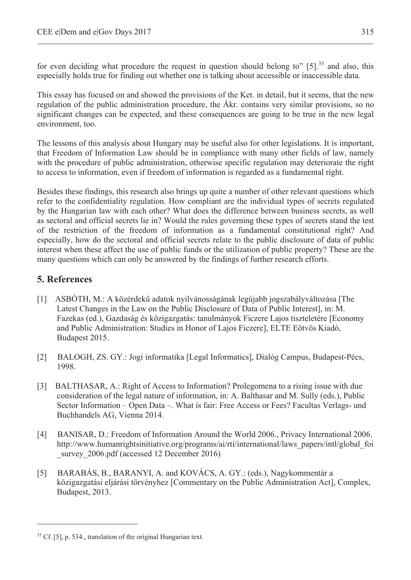for even deciding what procedure the request in question should belong to"  $[5]$ .<sup>35</sup> and also, this especially holds true for finding out whether one is talking about accessible or inaccessible data.

This essay has focused on and showed the provisions of the Ket. in detail, but it seems, that the new regulation of the public administration procedure, the Ákr. contains very similar provisions, so no significant changes can be expected, and these consequences are going to be true in the new legal environment, too.

The lessons of this analysis about Hungary may be useful also for other legislations. It is important, that Freedom of Information Law should be in compliance with many other fields of law, namely with the procedure of public administration, otherwise specific regulation may deteriorate the right to access to information, even if freedom of information is regarded as a fundamental right.

Besides these findings, this research also brings up quite a number of other relevant questions which refer to the confidentiality regulation. How compliant are the individual types of secrets regulated by the Hungarian law with each other? What does the difference between business secrets, as well as sectoral and official secrets lie in? Would the rules governing these types of secrets stand the test of the restriction of the freedom of information as a fundamental constitutional right? And especially, how do the sectoral and official secrets relate to the public disclosure of data of public interest when these affect the use of public funds or the utilization of public property? These are the many questions which can only be answered by the findings of further research efforts.

## **5. References**

- [1] ASBÓTH, M.: A közérdekű adatok nyilvánosságának legújabb jogszabályváltozása [The Latest Changes in the Law on the Public Disclosure of Data of Public Interest], in: M. Fazekas (ed.), Gazdaság és közigazgatás: tanulmányok Ficzere Lajos tiszteletére [Economy and Public Administration: Studies in Honor of Lajos Ficzere], ELTE Eötvös Kiadó, Budapest 2015.
- [2] BALOGH, ZS. GY.: Jogi informatika [Legal Informatics], Dialóg Campus, Budapest-Pécs, 1998.
- [3] BALTHASAR, A.: Right of Access to Information? Prolegomena to a rising issue with due consideration of the legal nature of information, in: A. Balthasar and M. Sully (eds.), Public Sector Information – Open Data –. What is fair: Free Access or Fees? Facultas Verlags- und Buchhandels AG, Vienna 2014.
- [4] BANISAR, D.: Freedom of Information Around the World 2006., Privacy International 2006. http://www.humanrightsinitiative.org/programs/ai/rti/international/laws\_papers/intl/global\_foi survey 2006.pdf (accessed 12 December 2016)
- [5] BARABÁS, B., BARANYI, A. and KOVÁCS, A. GY.: (eds.), Nagykommentár a közigazgatási eljárási törvényhez [Commentary on the Public Administration Act], Complex, Budapest, 2013.

 $35$  Cf. [5], p. 534., translation of the original Hungarian text.